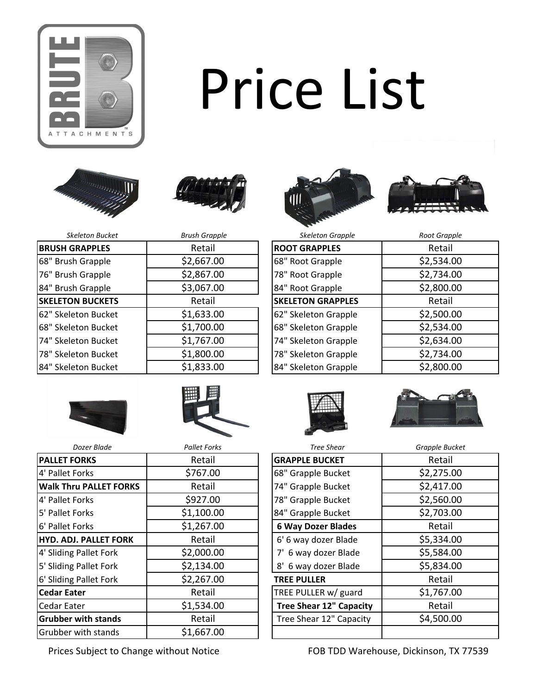

## Price List









| <b>Brush Grapple</b> | <b>Skeleton Grapple</b>  | Root Grapple |
|----------------------|--------------------------|--------------|
| Retail               | <b>ROOT GRAPPLES</b>     | Retail       |
| \$2,667.00           | 68" Root Grapple         | \$2,534.00   |
| \$2,867.00           | 78" Root Grapple         | \$2,734.00   |
| \$3,067.00           | 84" Root Grapple         | \$2,800.00   |
| Retail               | <b>SKELETON GRAPPLES</b> | Retail       |
| \$1,633.00           | 62" Skeleton Grapple     | \$2,500.00   |
| \$1,700.00           | 68" Skeleton Grapple     | \$2,534.00   |
| \$1,767.00           | 74" Skeleton Grapple     | \$2,634.00   |
| \$1,800.00           | 78" Skeleton Grapple     | \$2,734.00   |
| \$1,833.00           | 84" Skeleton Grapple     | \$2,800.00   |
|                      |                          |              |

| <b>Skeleton Grapple</b>  | Root Grapple |
|--------------------------|--------------|
| <b>ROOT GRAPPLES</b>     | Retail       |
| 68" Root Grapple         | \$2,534.00   |
| 78" Root Grapple         | \$2,734.00   |
| 84" Root Grapple         | \$2,800.00   |
| <b>SKELETON GRAPPLES</b> | Retail       |
| 62" Skeleton Grapple     | \$2,500.00   |
| 68" Skeleton Grapple     | \$2,534.00   |
| 74" Skeleton Grapple     | \$2,634.00   |
| 78" Skeleton Grapple     | \$2,734.00   |
| 84" Skeleton Grapple     | \$2,800.00   |
|                          |              |









| Dozer Blade           | <b>Pallet Forks</b> | <b>Tree Shear</b>              | Grapple Bucket |
|-----------------------|---------------------|--------------------------------|----------------|
| <b>ORKS</b>           | Retail              | <b>GRAPPLE BUCKET</b>          | Retail         |
| Forks                 | \$767.00            | 68" Grapple Bucket             | \$2,275.00     |
| ru PALLET FORKS       | Retail              | 74" Grapple Bucket             | \$2,417.00     |
| Forks                 | \$927.00            | 78" Grapple Bucket             | \$2,560.00     |
| Forks                 | \$1,100.00          | 84" Grapple Bucket             | \$2,703.00     |
| Forks                 | \$1,267.00          | <b>6 Way Dozer Blades</b>      | Retail         |
| <b>J. PALLET FORK</b> | Retail              | 6' 6 way dozer Blade           | \$5,334.00     |
| Pallet Fork           | \$2,000.00          | 7' 6 way dozer Blade           | \$5,584.00     |
| Pallet Fork           | \$2,134.00          | 8' 6 way dozer Blade           | \$5,834.00     |
| Pallet Fork           | \$2,267.00          | <b>TREE PULLER</b>             | Retail         |
| ter                   | Retail              | TREE PULLER w/ guard           | \$1,767.00     |
| ter                   | \$1,534.00          | <b>Tree Shear 12" Capacity</b> | Retail         |
| with stands           | Retail              | Tree Shear 12" Capacity        | \$4,500.00     |
| with stands           | <b>\$1 667 NO</b>   |                                |                |

**PALLET FORKS** Retail 4' Pallet Forks **1998** 6767.00 **Walk Thru PALLET FORKS** Retail 4' Pallet Forks **1927.00**  $\vert$ 5' Pallet Forks  $\vert$  \$1,100.00 **6'** Pallet Forks **1,267.00 HYD. ADJ. PALLET FORK | Retail**  $4'$  Sliding Pallet Fork  $\begin{array}{ccc} \hline \end{array}$  \$2,000.00  $5'$  Sliding Pallet Fork  $\begin{array}{c|c}\n5'$  Sliding Pallet Fork 6' Sliding Pallet Fork | \$2,267.00 **Cedar Eater Retail** Retail Cedar Eater **Tree Shear 12" Capacity** | Retail **Grubber with stands Retail** Grubber with stands | \$1,667.00